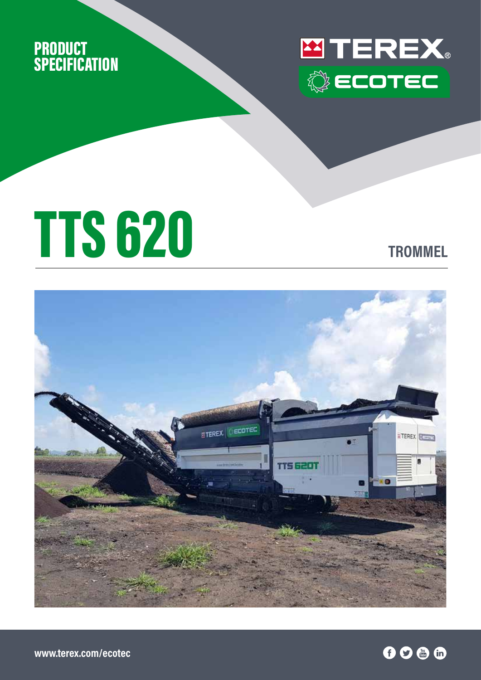



# TTS 620 **TROMMEL**



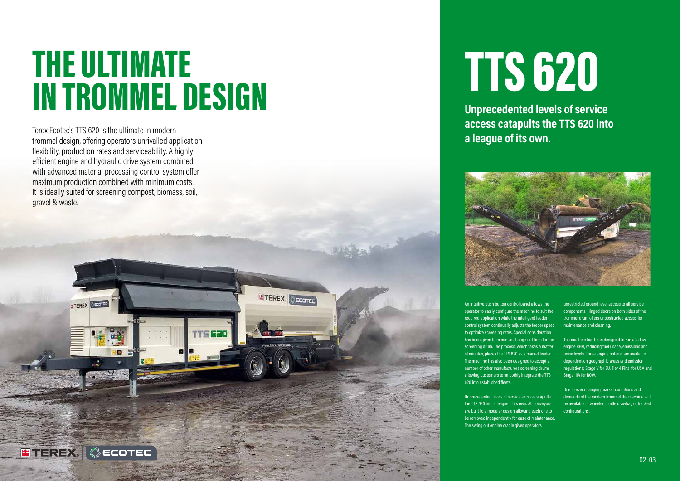# TTS 620

Unprecedented levels of service access catapults the TTS 620 into a league of its own. All conveyors are built to a modular design allowing each one to be removed independently for ease of maintenance. The swing out engine cradle gives operators

An intuitive push button control panel allows the operator to easily configure the machine to suit the required application while the intelligent feeder control system continually adjusts the feeder speed to optimize screening rates. Special consideration has been given to minimize change out time for the screening drum. The process, which takes a matter of minutes, places the TTS 620 as a market leader. The machine has also been designed to accept a number of other manufacturers screening drums allowing customers to smoothly integrate the TTS 620 into established fleets.

# THE ULTIMATE IN TROMMEL DESIGN

ETEREX CECOTEC

rts 620

unrestricted ground level access to all service components. Hinged doors on both sides of the trommel drum offers unobstructed access for maintenance and cleaning.

The machine has been designed to run at a low engine RPM, reducing fuel usage, emissions and noise levels. Three engine options are available dependent on geographic areas and emission regulations; Stage V for EU, Tier 4 Final for USA and Stage IIIA for ROW.

Due to ever changing market conditions and demands of the modern trommel the machine will be available in wheeled, pintle drawbar, or tracked configurations.

### **Unprecedented levels of service access catapults the TTS 620 into**

**a league of its own.**



Terex Ecotec's TTS 620 is the ultimate in modern trommel design, offering operators unrivalled application flexibility, production rates and serviceability. A highly efficient engine and hydraulic drive system combined with advanced material processing control system offer maximum production combined with minimum costs. It is ideally suited for screening compost, biomass, soil, gravel & waste.

ECOTEC

**ETEREX** OECOTED

**ESTEREX** 

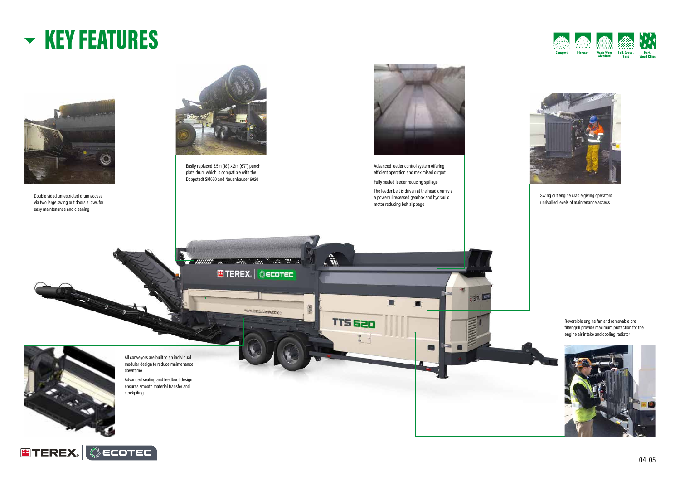## KEY FEATURES



Easily replaced 5.5m (18') x 2m (6'7") punch plate drum which is compatible with the Doppstadt SM620 and Neuenhauser 6020





Double sided unrestricted drum access via two large swing out doors allows for easy maintenance and cleaning

Advanced feeder control system offering efficient operation and maximised output

Fully sealed feeder reducing spillage The feeder belt is driven at the head drum via a powerful recessed gearbox and hydraulic motor reducing belt slippage

E

**Re** 

**E** TEREX. | © ECOTEC

www.terex.com/ecotec

. В.

TTS 620

Commercial and the Contract of the Contract of

All conveyors are built to an individual modular design to reduce maintenance downtime Advanced sealing and feedboot design

ensures smooth material transfer and stockpiling



**ETEREX.** @ECOTEC







Swing out engine cradle giving operators unrivalled levels of maintenance access



THEY LES

Reversible engine fan and removable pre filter grill provide maximum protection for the engine air intake and cooling radiator



 $04|05$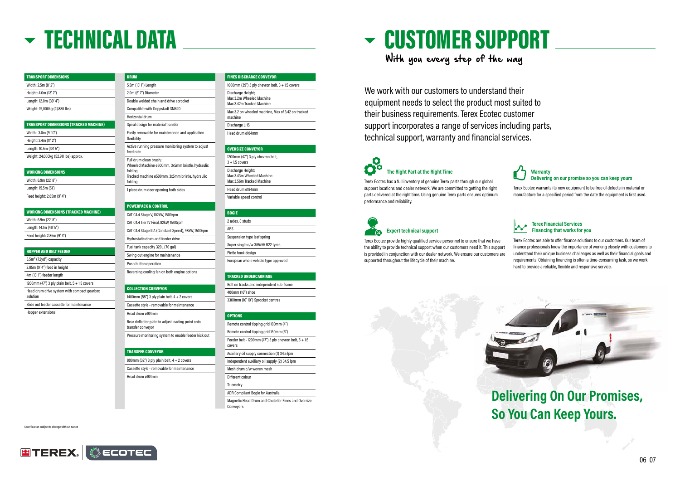Specification subject to change without notice



## TECHNICAL DATA

#### TRANSPORT DIMENSIONS Width: 2.5m (8' 2") Height: 4.0m (13' 2") Length: 12.0m (39' 4") Weight: 19,000kg (41,888 lbs)

| <b>TRANSPORT DIMENSIONS (TRACKED MACHINE)</b> |
|-----------------------------------------------|
| Width: 3.0m (9'10")                           |
| Height: 3.4m (11' 2")                         |
| Length: 10.5m (34' 5")                        |
| Weight: 24,000kg (52,911 lbs) approx.         |

#### WORKING DIMENSIONS

| Width: 6.9m (22' 8")       |
|----------------------------|
| Length: 15.5m (51')        |
| Feed height: 2.85m (9' 4") |

| <b>WORKING DIMENSIONS (TRACKED MACHINE)</b> |
|---------------------------------------------|
| Width: 6.9m (22' 8")                        |
| Length: 14.1m (46' 5")                      |
| Feed height: 2.85m (9' 4")                  |

#### HOPPER AND BELT FEEDER

| $5.5m3$ (7.2yd <sup>3</sup> ) capacity |  |
|----------------------------------------|--|
| $2.85m$ (9' 4") feed in height         |  |

4m (13' 1") feeder length

1200mm (47") 3 ply plain belt,  $5 + 1.5$  covers

Head drum drive system with compact gearbox solution

Slide out feeder cassette for maintenance

Hopper extensions

FINES DISCHARGE CONVEYOR

| 1000mm (39") 3 ply chevron belt, $3 + 1.5$ covers                          |
|----------------------------------------------------------------------------|
| Discharge Height;<br>Max 3.2m Wheeled Machine<br>Max 3.42m Tracked Machine |
| Max 3.2 on wheeled machine, Max of 3.42 on tracked<br>machine              |
| Discharge LHS                                                              |
| Head drum ø184mm                                                           |
|                                                                            |

#### OVERSIZE CONVEYOR

1200mm (47") 3 ply chevron belt,  $3 + 1.5$  covers Discharge Height; Max 3.43m Wheeled Machine Max 3.56m Tracked Machine Head drum ø184mm Variable speed control

#### **BOGIE**

| 2 axles, 8 studs                     |
|--------------------------------------|
| <b>ARS</b>                           |
| Suspension type leaf spring          |
| Super single c/w 385/55 R22 tyres    |
| Pintle hook design                   |
| European whole vehicle type approved |

#### TRACKED UNDERCARRIAGE

1400mm (55") 3 ply plain belt,  $4 + 2$  covers Cassette style - removable for maintenance Bolt on tracks and independent sub-frame

400mm (16") shoe 3300mm (10' 10") Sprocket centres

#### OPTIONS

800mm (32") 3 ply plain belt,  $4 + 2$  covers Cassette style - removable for maintenance

### O **The Right Part at the Right Time**

| Remote control tipping grid 100mm (4")                             |
|--------------------------------------------------------------------|
| Remote control tipping grid 150mm (6")                             |
| Feeder belt - 1200mm (47") 3 ply chevron belt, $5 + 1.5$<br>covers |
| Auxiliary oil supply connection (1) 34.5 lpm                       |
| Independent auxiliary oil supply (2) 34.5 lpm                      |
| Mesh drum c/w woven mesh                                           |
| Different colour                                                   |
| Telemetry                                                          |
| ADR Compliant Bogie for Australia                                  |

Magnetic Head Drum and Chute for Fines and Oversize Conveyors

DRUM

5.5m (18' 1") Length 2.0m (6' 7") Diameter

Double welded chain and drive sprocket Compatible with Doppstadt SM620

Horizontal drum

Spiral design for material transfer

Easily removable for maintenance and application

flexibility

Active running pressure monitoring system to adjust

feed rate

Full drum clean brush;

Wheeled Machine ø600mm, 3x5mm bristle, hydraulic

folding

Tracked machine ø500mm, 3x5mm bristle, hydraulic

folding

1 piece drum door opening both sides

POWERPACK & CONTROL CAT C4.4 Stage V, 102kW, 1500rpm CAT C4.4 Tier IV Final, 82kW, 1500rpm

CAT C4.4 Stage IIIA (Constant Speed), 98kW, 1500rpm

Hydrostatic drum and feeder drive Fuel tank capacity 320L (70 gal) Swing out engine for maintenance

Push button operation

Reversing cooling fan on both engine options

COLLECTION CONVEYOR

Head drum ø184mm

Rear deflector plate to adjust loading point onto

transfer conveyor

**TRANSFER CONVEYOR** 

Pressure monitoring system to enable feeder kick out

Head drum ø184mm

Terex Ecotec has a full inventory of genuine Terex parts through our global support locations and dealer network. We are committed to getting the right parts delivered at the right time. Using genuine Terex parts ensures optimum performance and reliability.

### **Expert technical support**

### **Warranty Delivering on our promise so you can keep yours**

Terex Ecotec warrants its new equipment to be free of defects in material or manufacture for a specified period from the date the equipment is first used.

Terex Ecotec provide highly qualified service personnel to ensure that we have the ability to provide technical support when our customers need it. This support is provided in conjunction with our dealer network. We ensure our customers are supported throughout the lifecycle of their machine. Terex Ecotec are able to offer finance solutions to our customers. Our team of finance professionals know the importance of working closely with customers to understand their unique business challenges as well as their financial goals and requirements. Obtaining financing is often a time-consuming task, so we work hard to provide a reliable, flexible and responsive service.

#### **Terex Financial Services Financing that works for you**

We work with our customers to understand their equipment needs to select the product most suited to their business requirements. Terex Ecotec customer support incorporates a range of services including parts, technical support, warranty and financial services.

With you every step of the way

## CUSTOMER SUPPORT